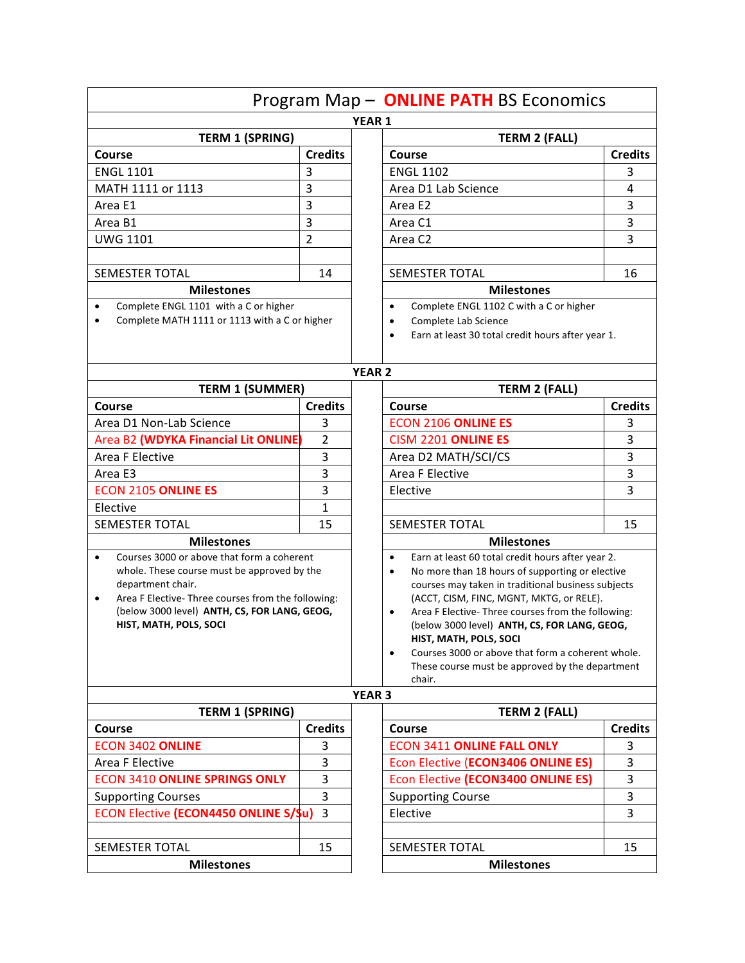|                                                                                      |                | Program Map - ONLINE PATH BS Economics                          |                                                    |  |  |
|--------------------------------------------------------------------------------------|----------------|-----------------------------------------------------------------|----------------------------------------------------|--|--|
|                                                                                      |                | <b>YEAR 1</b>                                                   |                                                    |  |  |
| <b>TERM 1 (SPRING)</b>                                                               |                | <b>TERM 2 (FALL)</b>                                            |                                                    |  |  |
| Course                                                                               | <b>Credits</b> | Course                                                          | <b>Credits</b>                                     |  |  |
| <b>ENGL 1101</b>                                                                     | 3              | <b>ENGL 1102</b>                                                | 3                                                  |  |  |
| MATH 1111 or 1113                                                                    | 3              | Area D1 Lab Science                                             | 4                                                  |  |  |
| Area E1                                                                              | 3              | Area E2                                                         | 3                                                  |  |  |
| Area B1                                                                              | 3              | Area C1                                                         | 3                                                  |  |  |
| <b>UWG 1101</b>                                                                      | $\overline{2}$ | Area C2                                                         | 3                                                  |  |  |
|                                                                                      |                |                                                                 |                                                    |  |  |
| <b>SEMESTER TOTAL</b>                                                                | 14             | SEMESTER TOTAL                                                  | 16                                                 |  |  |
| <b>Milestones</b>                                                                    |                | <b>Milestones</b>                                               |                                                    |  |  |
| Complete ENGL 1101 with a C or higher<br>$\bullet$                                   |                | Complete ENGL 1102 C with a C or higher<br>$\bullet$            |                                                    |  |  |
| Complete MATH 1111 or 1113 with a C or higher<br>$\bullet$                           |                | Complete Lab Science<br>$\bullet$                               |                                                    |  |  |
|                                                                                      |                | $\bullet$                                                       | Earn at least 30 total credit hours after year 1.  |  |  |
|                                                                                      |                | <b>YEAR 2</b>                                                   |                                                    |  |  |
| <b>TERM 1 (SUMMER)</b>                                                               |                | <b>TERM 2 (FALL)</b>                                            |                                                    |  |  |
| Course                                                                               | <b>Credits</b> | Course                                                          | <b>Credits</b>                                     |  |  |
| Area D1 Non-Lab Science                                                              | 3              | <b>ECON 2106 ONLINE ES</b>                                      | 3                                                  |  |  |
| Area B2 (WDYKA Financial Lit ONLINE                                                  | 2              | CISM 2201 ONLINE ES                                             | 3                                                  |  |  |
| Area F Elective                                                                      | 3              | Area D2 MATH/SCI/CS                                             | 3                                                  |  |  |
| Area E3                                                                              | 3              | Area F Elective                                                 | 3                                                  |  |  |
| <b>ECON 2105 ONLINE ES</b>                                                           | 3              | Elective                                                        | 3                                                  |  |  |
| Elective                                                                             | 1              |                                                                 |                                                    |  |  |
| <b>SEMESTER TOTAL</b>                                                                | 15             | <b>SEMESTER TOTAL</b>                                           | 15                                                 |  |  |
| <b>Milestones</b>                                                                    |                | <b>Milestones</b>                                               |                                                    |  |  |
| Courses 3000 or above that form a coherent<br>$\bullet$                              |                | $\bullet$                                                       | Earn at least 60 total credit hours after year 2.  |  |  |
| whole. These course must be approved by the                                          |                | No more than 18 hours of supporting or elective<br>$\bullet$    |                                                    |  |  |
| department chair.<br>Area F Elective- Three courses from the following:<br>$\bullet$ |                | (ACCT, CISM, FINC, MGNT, MKTG, or RELE).                        | courses may taken in traditional business subjects |  |  |
| (below 3000 level) ANTH, CS, FOR LANG, GEOG,                                         |                | Area F Elective- Three courses from the following:<br>$\bullet$ |                                                    |  |  |
| HIST, MATH, POLS, SOCI                                                               |                | (below 3000 level) ANTH, CS, FOR LANG, GEOG,                    |                                                    |  |  |
|                                                                                      |                | HIST, MATH, POLS, SOCI                                          |                                                    |  |  |
|                                                                                      |                | $\bullet$                                                       | Courses 3000 or above that form a coherent whole.  |  |  |
|                                                                                      |                | chair.                                                          | These course must be approved by the department    |  |  |
|                                                                                      |                | <b>YEAR 3</b>                                                   |                                                    |  |  |
| <b>TERM 1 (SPRING)</b>                                                               |                | <b>TERM 2 (FALL)</b>                                            |                                                    |  |  |
| <b>Course</b>                                                                        | <b>Credits</b> | Course                                                          | <b>Credits</b>                                     |  |  |
| <b>ECON 3402 ONLINE</b>                                                              | 3              | <b>ECON 3411 ONLINE FALL ONLY</b>                               | 3                                                  |  |  |
| Area F Elective                                                                      | 3              | Econ Elective (ECON3406 ONLINE ES)                              | 3                                                  |  |  |
| <b>ECON 3410 ONLINE SPRINGS ONLY</b>                                                 | 3              | Econ Elective (ECON3400 ONLINE ES)                              | 3                                                  |  |  |
| <b>Supporting Courses</b>                                                            | 3              | <b>Supporting Course</b>                                        | 3                                                  |  |  |
| <b>ECON Elective (ECON4450 ONLINE S/Su)</b>                                          | $\overline{3}$ | Elective                                                        | 3                                                  |  |  |
|                                                                                      |                |                                                                 |                                                    |  |  |
| <b>SEMESTER TOTAL</b>                                                                | 15             | <b>SEMESTER TOTAL</b>                                           | 15                                                 |  |  |
| <b>Milestones</b>                                                                    |                | <b>Milestones</b>                                               |                                                    |  |  |